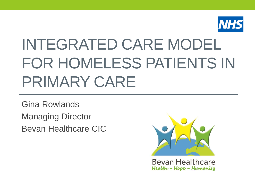

# INTEGRATED CARE MODEL FOR HOMELESS PATIENTS IN PRIMARY CARE

Gina Rowlands Managing Director Bevan Healthcare CIC



**Bevan Healthcare** Health - Hope - Humanity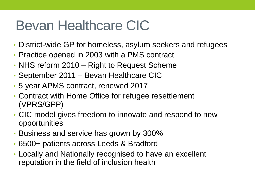# Bevan Healthcare CIC

- District-wide GP for homeless, asylum seekers and refugees
- Practice opened in 2003 with a PMS contract
- NHS reform 2010 Right to Request Scheme
- September 2011 Bevan Healthcare CIC
- 5 year APMS contract, renewed 2017
- Contract with Home Office for refugee resettlement (VPRS/GPP)
- CIC model gives freedom to innovate and respond to new opportunities
- Business and service has grown by 300%
- 6500+ patients across Leeds & Bradford
- Locally and Nationally recognised to have an excellent reputation in the field of inclusion health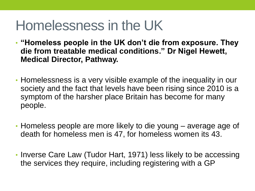# Homelessness in the UK

- **"Homeless people in the UK don't die from exposure. They die from treatable medical conditions." Dr Nigel Hewett, Medical Director, Pathway.**
- Homelessness is a very visible example of the inequality in our society and the fact that levels have been rising since 2010 is a symptom of the harsher place Britain has become for many people.
- Homeless people are more likely to die young average age of death for homeless men is 47, for homeless women its 43.
- Inverse Care Law (Tudor Hart, 1971) less likely to be accessing the services they require, including registering with a GP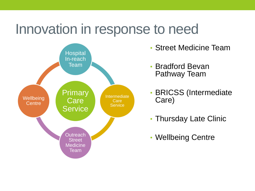### Innovation in response to need



- Street Medicine Team
- Bradford Bevan Pathway Team
- BRICSS (Intermediate Care)
- Thursday Late Clinic
- Wellbeing Centre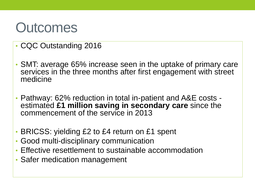### **Outcomes**

- CQC Outstanding 2016
- SMT: average 65% increase seen in the uptake of primary care services in the three months after first engagement with street medicine
- Pathway: 62% reduction in total in-patient and A&E costs estimated **£1 million saving in secondary care** since the commencement of the service in 2013
- BRICSS: yielding £2 to £4 return on £1 spent
- Good multi-disciplinary communication
- Effective resettlement to sustainable accommodation
- Safer medication management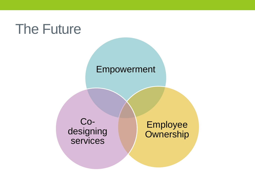# The Future

#### Empowerment

Codesigning services

Employee **Ownership**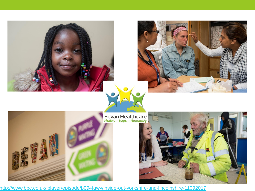

<http://www.bbc.co.uk/iplayer/episode/b094fgwy/inside-out-yorkshire-and-lincolnshire-11092017>